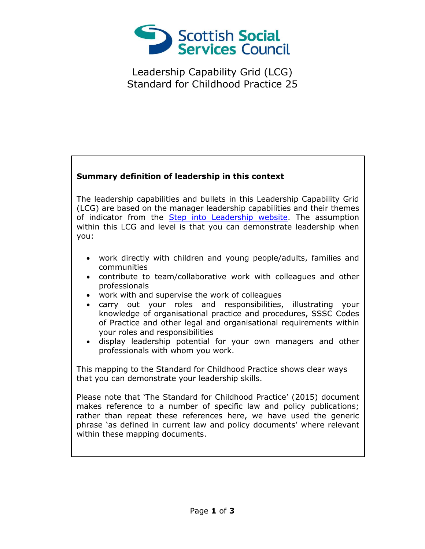

Leadership Capability Grid (LCG) Standard for Childhood Practice 25

## **Summary definition of leadership in this context**

The leadership capabilities and bullets in this Leadership Capability Grid (LCG) are based on the manager leadership capabilities and their themes of indicator from the [Step into Leadership website.](http://www.stepintoleadership.info/) The assumption within this LCG and level is that you can demonstrate leadership when you:

- work directly with children and young people/adults, families and communities
- contribute to team/collaborative work with colleagues and other professionals
- work with and supervise the work of colleagues
- carry out your roles and responsibilities, illustrating your knowledge of organisational practice and procedures, SSSC Codes of Practice and other legal and organisational requirements within your roles and responsibilities
- display leadership potential for your own managers and other professionals with whom you work.

This mapping to the Standard for Childhood Practice shows clear ways that you can demonstrate your leadership skills.

Please note that 'The Standard for Childhood Practice' (2015) document makes reference to a number of specific law and policy publications; rather than repeat these references here, we have used the generic phrase 'as defined in current law and policy documents' where relevant within these mapping documents.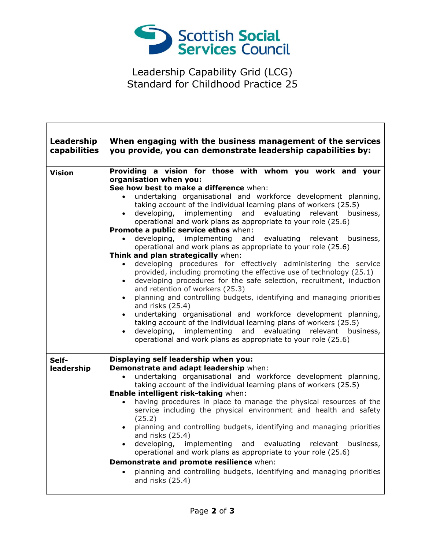

Leadership Capability Grid (LCG) Standard for Childhood Practice 25

 $\mathsf{L}$ 

П

| Leadership<br>capabilities | When engaging with the business management of the services<br>you provide, you can demonstrate leadership capabilities by:                                                                                                                                                                                                                                                                                                                                                                                                                                                                                                                                                                                                                                                                                                                                                                                                                                                                                                                                                                                                                                                                                                                                                       |
|----------------------------|----------------------------------------------------------------------------------------------------------------------------------------------------------------------------------------------------------------------------------------------------------------------------------------------------------------------------------------------------------------------------------------------------------------------------------------------------------------------------------------------------------------------------------------------------------------------------------------------------------------------------------------------------------------------------------------------------------------------------------------------------------------------------------------------------------------------------------------------------------------------------------------------------------------------------------------------------------------------------------------------------------------------------------------------------------------------------------------------------------------------------------------------------------------------------------------------------------------------------------------------------------------------------------|
| <b>Vision</b>              | Providing a vision for those with whom you work and your<br>organisation when you:<br>See how best to make a difference when:<br>undertaking organisational and workforce development planning,<br>$\bullet$<br>taking account of the individual learning plans of workers (25.5)<br>developing, implementing and evaluating relevant business,<br>$\bullet$<br>operational and work plans as appropriate to your role (25.6)<br>Promote a public service ethos when:<br>developing, implementing and evaluating relevant business,<br>operational and work plans as appropriate to your role (25.6)<br>Think and plan strategically when:<br>developing procedures for effectively administering the service<br>provided, including promoting the effective use of technology (25.1)<br>developing procedures for the safe selection, recruitment, induction<br>and retention of workers (25.3)<br>planning and controlling budgets, identifying and managing priorities<br>and risks (25.4)<br>undertaking organisational and workforce development planning,<br>taking account of the individual learning plans of workers (25.5)<br>developing, implementing and evaluating relevant business,<br>$\bullet$<br>operational and work plans as appropriate to your role (25.6) |
| Self-<br>leadership        | Displaying self leadership when you:<br>Demonstrate and adapt leadership when:<br>undertaking organisational and workforce development planning,<br>$\bullet$<br>taking account of the individual learning plans of workers (25.5)<br>Enable intelligent risk-taking when:<br>having procedures in place to manage the physical resources of the<br>service including the physical environment and health and safety<br>(25.2)<br>planning and controlling budgets, identifying and managing priorities<br>and risks (25.4)<br>developing,<br>implementing<br>and evaluating<br>relevant<br>business,<br>operational and work plans as appropriate to your role (25.6)<br>Demonstrate and promote resilience when:<br>planning and controlling budgets, identifying and managing priorities<br>and risks (25.4)                                                                                                                                                                                                                                                                                                                                                                                                                                                                  |